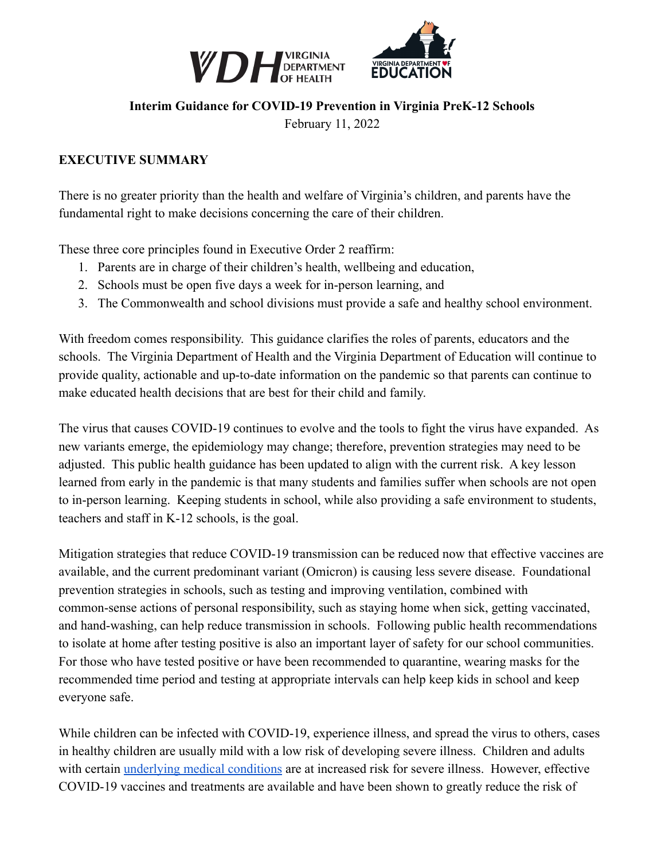



#### **Interim Guidance for COVID-19 Prevention in Virginia PreK-12 Schools**

February 11, 2022

#### **EXECUTIVE SUMMARY**

There is no greater priority than the health and welfare of Virginia's children, and parents have the fundamental right to make decisions concerning the care of their children.

These three core principles found in Executive Order 2 reaffirm:

- 1. Parents are in charge of their children's health, wellbeing and education,
- 2. Schools must be open five days a week for in-person learning, and
- 3. The Commonwealth and school divisions must provide a safe and healthy school environment.

With freedom comes responsibility. This guidance clarifies the roles of parents, educators and the schools. The Virginia Department of Health and the Virginia Department of Education will continue to provide quality, actionable and up-to-date information on the pandemic so that parents can continue to make educated health decisions that are best for their child and family.

The virus that causes COVID-19 continues to evolve and the tools to fight the virus have expanded. As new variants emerge, the epidemiology may change; therefore, prevention strategies may need to be adjusted. This public health guidance has been updated to align with the current risk. A key lesson learned from early in the pandemic is that many students and families suffer when schools are not open to in-person learning. Keeping students in school, while also providing a safe environment to students, teachers and staff in K-12 schools, is the goal.

Mitigation strategies that reduce COVID-19 transmission can be reduced now that effective vaccines are available, and the current predominant variant (Omicron) is causing less severe disease. Foundational prevention strategies in schools, such as testing and improving ventilation, combined with common-sense actions of personal responsibility, such as staying home when sick, getting vaccinated, and hand-washing, can help reduce transmission in schools. Following public health recommendations to isolate at home after testing positive is also an important layer of safety for our school communities. For those who have tested positive or have been recommended to quarantine, wearing masks for the recommended time period and testing at appropriate intervals can help keep kids in school and keep everyone safe.

While children can be infected with COVID-19, experience illness, and spread the virus to others, cases in healthy children are usually mild with a low risk of developing severe illness. Children and adults with certain [underlying medical conditions](https://www.cdc.gov/coronavirus/2019-ncov/need-extra-precautions/people-with-medical-conditions.html) are at increased risk for severe illness. However, effective COVID-19 vaccines and treatments are available and have been shown to greatly reduce the risk of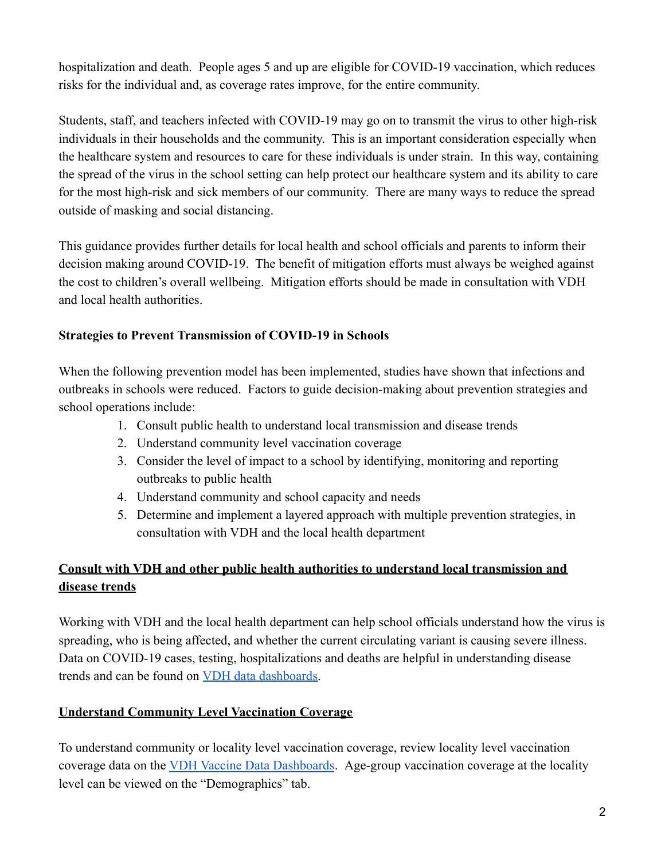hospitalization and death. People ages 5 and up are eligible for COVID-19 vaccination, which reduces risks for the individual and, as coverage rates improve, for the entire community.

Students, staff, and teachers infected with COVID-19 may go on to transmit the virus to other high-risk individuals in their households and the community. This is an important consideration especially when the healthcare system and resources to care for these individuals is under strain. In this way, containing the spread of the virus in the school setting can help protect our healthcare system and its ability to care for the most high-risk and sick members of our community. There are many ways to reduce the spread outside of masking and social distancing.

This guidance provides further details for local health and school officials and parents to inform their decision making around COVID-19. The benefit of mitigation efforts must always be weighed against the cost to children's overall wellbeing. Mitigation efforts should be made in consultation with VDH and local health authorities.

### **Strategies to Prevent Transmission of COVID-19 in Schools**

When the following prevention model has been implemented, studies have shown that infections and outbreaks in schools were reduced. Factors to guide decision-making about prevention strategies and school operations include:

- 1. Consult public health to understand local transmission and disease trends
- 2. Understand community level vaccination coverage
- 3. Consider the level of impact to a school by identifying, monitoring and reporting outbreaks to public health
- 4. Understand community and school capacity and needs
- 5. Determine and implement a layered approach with multiple prevention strategies, in consultation with VDH and the local health department

## **Consult with VDH and other public health authorities to understand local transmission and disease trends**

Working with VDH and the local health department can help school officials understand how the virus is spreading, who is being affected, and whether the current circulating variant is causing severe illness. Data on COVID-19 cases, testing, hospitalizations and deaths are helpful in understanding disease trends and can be found on [VDH data dashboards.](https://www.vdh.virginia.gov/coronavirus/see-the-numbers/covid-19-in-virginia/)

## **Understand Community Level Vaccination Coverage**

To understand community or locality level vaccination coverage, review locality level vaccination coverage data on the [VDH Vaccine Data Dashboards](https://www.vdh.virginia.gov/coronavirus/covid-19-vaccine-summary/). Age-group vaccination coverage at the locality level can be viewed on the "Demographics" tab.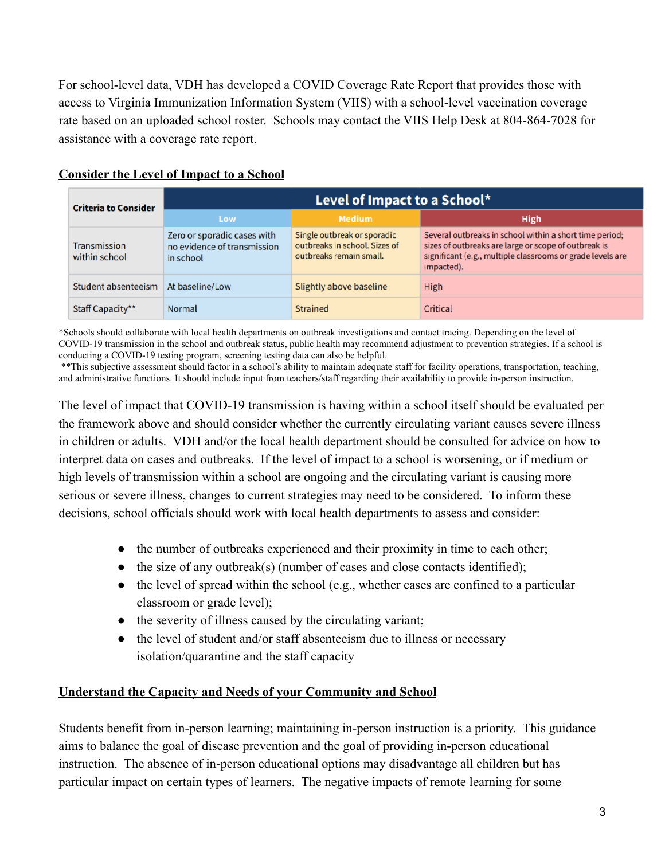For school-level data, VDH has developed a COVID Coverage Rate Report that provides those with access to Virginia Immunization Information System (VIIS) with a school-level vaccination coverage rate based on an uploaded school roster. Schools may contact the VIIS Help Desk at 804-864-7028 for assistance with a coverage rate report.

| <b>Criteria to Consider</b>   | Level of Impact to a School*                                            |                                                                                         |                                                                                                                                                                                             |  |
|-------------------------------|-------------------------------------------------------------------------|-----------------------------------------------------------------------------------------|---------------------------------------------------------------------------------------------------------------------------------------------------------------------------------------------|--|
|                               | Low                                                                     | <b>Medium</b>                                                                           | <b>High</b>                                                                                                                                                                                 |  |
| Transmission<br>within school | Zero or sporadic cases with<br>no evidence of transmission<br>in school | Single outbreak or sporadic<br>outbreaks in school. Sizes of<br>outbreaks remain small. | Several outbreaks in school within a short time period;<br>sizes of outbreaks are large or scope of outbreak is<br>significant (e.g., multiple classrooms or grade levels are<br>impacted). |  |
| Student absenteeism           | At baseline/Low                                                         | Slightly above baseline                                                                 | High                                                                                                                                                                                        |  |
| Staff Capacity**              | <b>Normal</b>                                                           | <b>Strained</b>                                                                         | Critical                                                                                                                                                                                    |  |

#### **Consider the Level of Impact to a School**

\*Schools should collaborate with local health departments on outbreak investigations and contact tracing. Depending on the level of COVID-19 transmission in the school and outbreak status, public health may recommend adjustment to prevention strategies. If a school is conducting a COVID-19 testing program, screening testing data can also be helpful.

\*\*This subjective assessment should factor in a school's ability to maintain adequate staff for facility operations, transportation, teaching, and administrative functions. It should include input from teachers/staff regarding their availability to provide in-person instruction.

The level of impact that COVID-19 transmission is having within a school itself should be evaluated per the framework above and should consider whether the currently circulating variant causes severe illness in children or adults. VDH and/or the local health department should be consulted for advice on how to interpret data on cases and outbreaks. If the level of impact to a school is worsening, or if medium or high levels of transmission within a school are ongoing and the circulating variant is causing more serious or severe illness, changes to current strategies may need to be considered. To inform these decisions, school officials should work with local health departments to assess and consider:

- the number of outbreaks experienced and their proximity in time to each other;
- $\bullet$  the size of any outbreak(s) (number of cases and close contacts identified);
- $\bullet$  the level of spread within the school (e.g., whether cases are confined to a particular classroom or grade level);
- the severity of illness caused by the circulating variant;
- the level of student and/or staff absenteeism due to illness or necessary isolation/quarantine and the staff capacity

#### **Understand the Capacity and Needs of your Community and School**

Students benefit from in-person learning; maintaining in-person instruction is a priority. This guidance aims to balance the goal of disease prevention and the goal of providing in-person educational instruction. The absence of in-person educational options may disadvantage all children but has particular impact on certain types of learners. The negative impacts of remote learning for some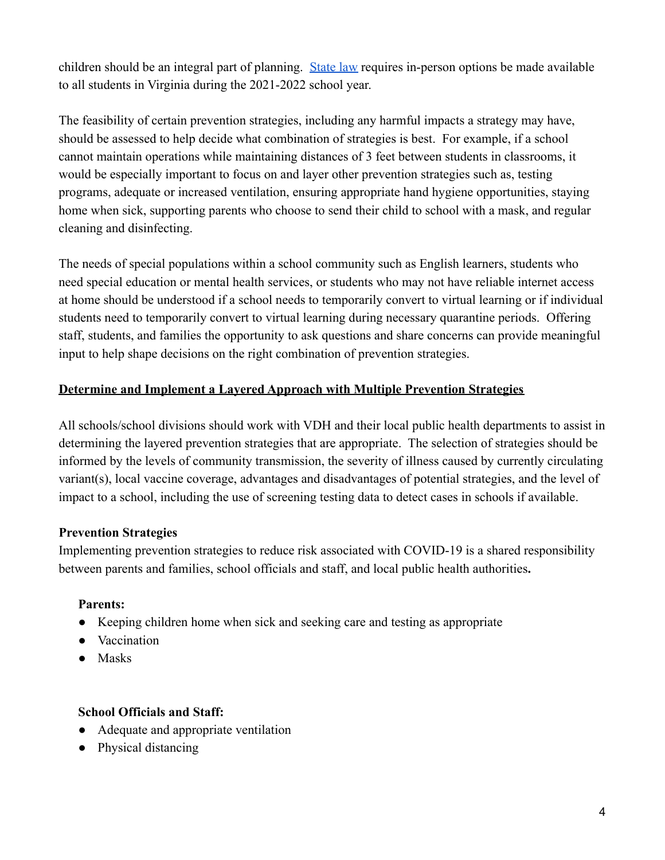children should be an integral part of planning. [State law](https://lis.virginia.gov/cgi-bin/legp604.exe?212+ful+CHAP0456) requires in-person options be made available to all students in Virginia during the 2021-2022 school year.

The feasibility of certain prevention strategies, including any harmful impacts a strategy may have, should be assessed to help decide what combination of strategies is best. For example, if a school cannot maintain operations while maintaining distances of 3 feet between students in classrooms, it would be especially important to focus on and layer other prevention strategies such as, testing programs, adequate or increased ventilation, ensuring appropriate hand hygiene opportunities, staying home when sick, supporting parents who choose to send their child to school with a mask, and regular cleaning and disinfecting.

The needs of special populations within a school community such as English learners, students who need special education or mental health services, or students who may not have reliable internet access at home should be understood if a school needs to temporarily convert to virtual learning or if individual students need to temporarily convert to virtual learning during necessary quarantine periods. Offering staff, students, and families the opportunity to ask questions and share concerns can provide meaningful input to help shape decisions on the right combination of prevention strategies.

### **Determine and Implement a Layered Approach with Multiple Prevention Strategies**

All schools/school divisions should work with VDH and their local public health departments to assist in determining the layered prevention strategies that are appropriate. The selection of strategies should be informed by the levels of community transmission, the severity of illness caused by currently circulating variant(s), local vaccine coverage, advantages and disadvantages of potential strategies, and the level of impact to a school, including the use of screening testing data to detect cases in schools if available.

#### **Prevention Strategies**

Implementing prevention strategies to reduce risk associated with COVID-19 is a shared responsibility between parents and families, school officials and staff, and local public health authorities**.**

#### **Parents:**

- Keeping children home when sick and seeking care and testing as appropriate
- Vaccination
- Masks

## **School Officials and Staff:**

- Adequate and appropriate ventilation
- Physical distancing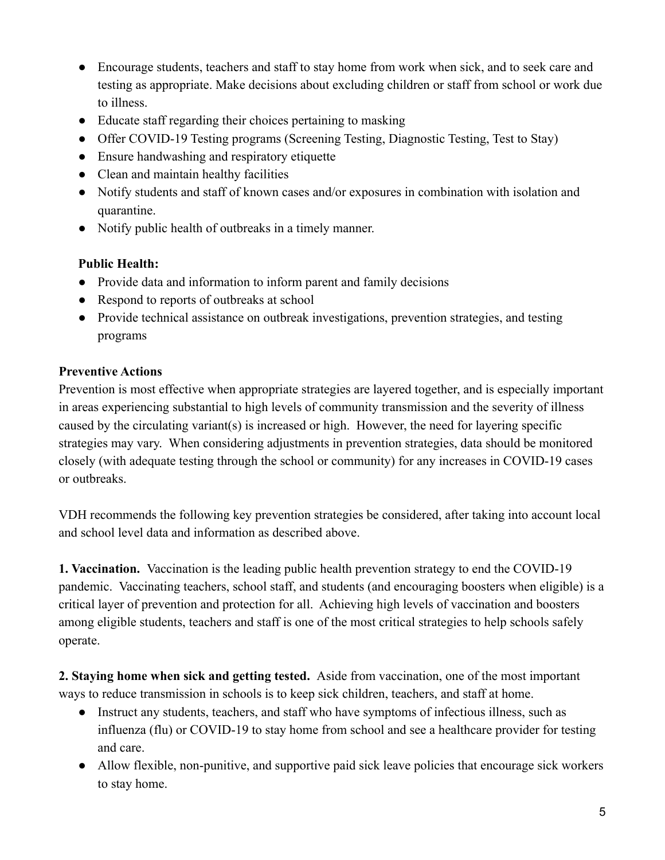- Encourage students, teachers and staff to stay home from work when sick, and to seek care and testing as appropriate. Make decisions about excluding children or staff from school or work due to illness.
- Educate staff regarding their choices pertaining to masking
- Offer COVID-19 Testing programs (Screening Testing, Diagnostic Testing, Test to Stay)
- Ensure handwashing and respiratory etiquette
- Clean and maintain healthy facilities
- Notify students and staff of known cases and/or exposures in combination with isolation and quarantine.
- Notify public health of outbreaks in a timely manner.

### **Public Health:**

- Provide data and information to inform parent and family decisions
- Respond to reports of outbreaks at school
- Provide technical assistance on outbreak investigations, prevention strategies, and testing programs

## **Preventive Actions**

Prevention is most effective when appropriate strategies are layered together, and is especially important in areas experiencing substantial to high levels of community transmission and the severity of illness caused by the circulating variant(s) is increased or high. However, the need for layering specific strategies may vary. When considering adjustments in prevention strategies, data should be monitored closely (with adequate testing through the school or community) for any increases in COVID-19 cases or outbreaks.

VDH recommends the following key prevention strategies be considered, after taking into account local and school level data and information as described above.

**1. Vaccination.** Vaccination is the leading public health prevention strategy to end the COVID-19 pandemic. Vaccinating teachers, school staff, and students (and encouraging boosters when eligible) is a critical layer of prevention and protection for all. Achieving high levels of vaccination and boosters among eligible students, teachers and staff is one of the most critical strategies to help schools safely operate.

**2. Staying home when sick and getting tested.** Aside from vaccination, one of the most important ways to reduce transmission in schools is to keep sick children, teachers, and staff at home.

- Instruct any students, teachers, and staff who have symptoms of infectious illness, such as influenza (flu) or COVID-19 to stay home from school and see a healthcare provider for testing and care.
- Allow flexible, non-punitive, and supportive paid sick leave policies that encourage sick workers to stay home.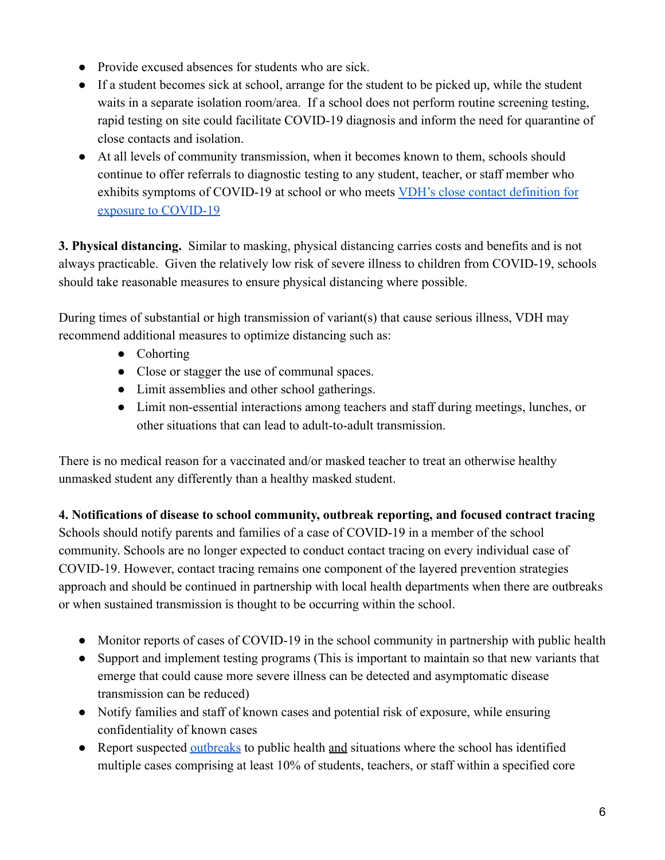- Provide excused absences for students who are sick.
- If a student becomes sick at school, arrange for the student to be picked up, while the student waits in a separate isolation room/area. If a school does not perform routine screening testing, rapid testing on site could facilitate COVID-19 diagnosis and inform the need for quarantine of close contacts and isolation.
- At all levels of community transmission, when it becomes known to them, schools should continue to offer referrals to diagnostic testing to any student, teacher, or staff member who exhibits symptoms of COVID-19 at school or who meets [VDH's close contact definition for](https://www.vdh.virginia.gov/coronavirus/local-exposure/#close-contact) [exposure to COVID-19](https://www.vdh.virginia.gov/coronavirus/local-exposure/#close-contact)

**3. Physical distancing.** Similar to masking, physical distancing carries costs and benefits and is not always practicable. Given the relatively low risk of severe illness to children from COVID-19, schools should take reasonable measures to ensure physical distancing where possible.

During times of substantial or high transmission of variant(s) that cause serious illness, VDH may recommend additional measures to optimize distancing such as:

- Cohorting
- Close or stagger the use of communal spaces.
- Limit assemblies and other school gatherings.
- Limit non-essential interactions among teachers and staff during meetings, lunches, or other situations that can lead to adult-to-adult transmission.

There is no medical reason for a vaccinated and/or masked teacher to treat an otherwise healthy unmasked student any differently than a healthy masked student.

**4. Notifications of disease to school community, outbreak reporting, and focused contract tracing** Schools should notify parents and families of a case of COVID-19 in a member of the school community. Schools are no longer expected to conduct contact tracing on every individual case of COVID-19. However, contact tracing remains one component of the layered prevention strategies approach and should be continued in partnership with local health departments when there are outbreaks or when sustained transmission is thought to be occurring within the school.

- Monitor reports of cases of COVID-19 in the school community in partnership with public health
- Support and implement testing programs (This is important to maintain so that new variants that emerge that could cause more severe illness can be detected and asymptomatic disease transmission can be reduced)
- Notify families and staff of known cases and potential risk of exposure, while ensuring confidentiality of known cases
- Report suspected [outbreaks](https://www.vdh.virginia.gov/coronavirus/see-the-numbers/covid-19-in-virginia/covid-19-in-virginia-outbreaks/) to public health and situations where the school has identified multiple cases comprising at least 10% of students, teachers, or staff within a specified core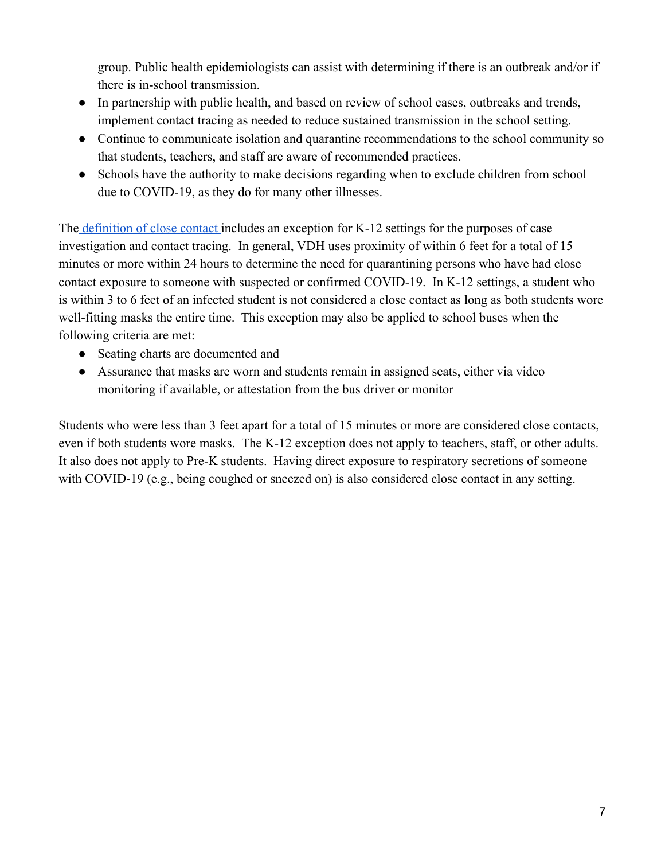group. Public health epidemiologists can assist with determining if there is an outbreak and/or if there is in-school transmission.

- In partnership with public health, and based on review of school cases, outbreaks and trends, implement contact tracing as needed to reduce sustained transmission in the school setting.
- Continue to communicate isolation and quarantine recommendations to the school community so that students, teachers, and staff are aware of recommended practices.
- Schools have the authority to make decisions regarding when to exclude children from school due to COVID-19, as they do for many other illnesses.

The [definition of close contact](https://www.vdh.virginia.gov/coronavirus/local-exposure/#close-contact) includes an exception for K-12 settings for the purposes of case investigation and contact tracing. In general, VDH uses proximity of within 6 feet for a total of 15 minutes or more within 24 hours to determine the need for quarantining persons who have had close contact exposure to someone with suspected or confirmed COVID-19. In K-12 settings, a student who is within 3 to 6 feet of an infected student is not considered a close contact as long as both students wore well-fitting masks the entire time. This exception may also be applied to school buses when the following criteria are met:

- Seating charts are documented and
- Assurance that masks are worn and students remain in assigned seats, either via video monitoring if available, or attestation from the bus driver or monitor

Students who were less than 3 feet apart for a total of 15 minutes or more are considered close contacts, even if both students wore masks. The K-12 exception does not apply to teachers, staff, or other adults. It also does not apply to Pre-K students. Having direct exposure to respiratory secretions of someone with COVID-19 (e.g., being coughed or sneezed on) is also considered close contact in any setting.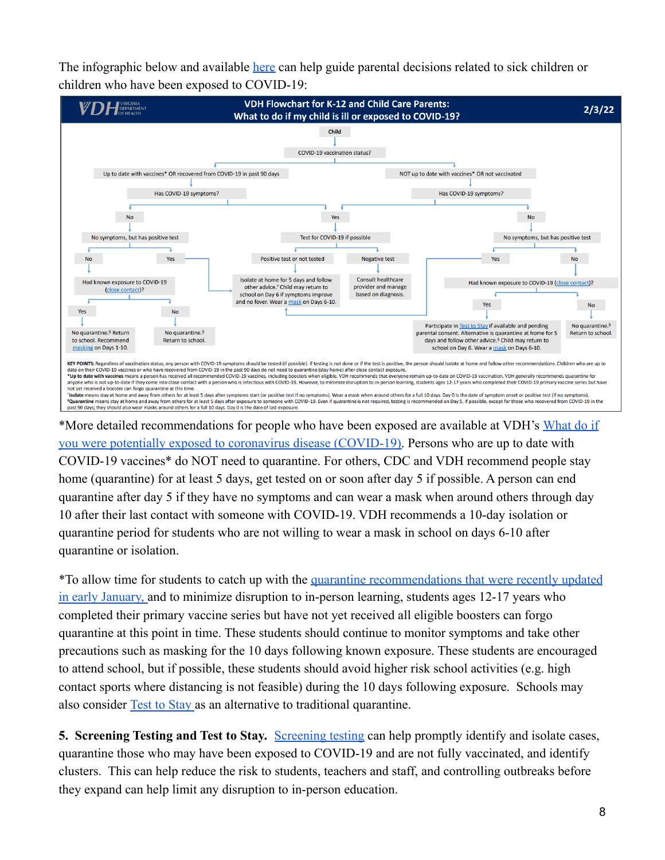The infographic below and available [here](https://www.vdh.virginia.gov/content/uploads/sites/182/2022/01/K-12-COVID-19-Parent-Flowchart.pdf) can help guide parental decisions related to sick children or children who have been exposed to COVID-19:



\*More detailed recommendations for people who have been exposed are available at VDH's [What do if](https://www.vdh.virginia.gov/coronavirus/protect-yourself/exposure/) [you were potentially exposed to coronavirus disease \(COVID-19\).](https://www.vdh.virginia.gov/coronavirus/protect-yourself/exposure/) Persons who are up to date with COVID-19 vaccines\* do NOT need to quarantine. For others, CDC and VDH recommend people stay home (quarantine) for at least 5 days, get tested on or soon after day 5 if possible. A person can end quarantine after day 5 if they have no symptoms and can wear a mask when around others through day 10 after their last contact with someone with COVID-19. VDH recommends a 10-day isolation or quarantine period for students who are not willing to wear a mask in school on days 6-10 after quarantine or isolation.

\*To allow time for students to catch up with the quarantine [recommendations that were recently updated](https://www.vdh.virginia.gov/content/uploads/sites/182/2020/04/Home-IsolationQuarantine-Release-Graphic_FINAL.pdf) [in early January,](https://www.vdh.virginia.gov/content/uploads/sites/182/2020/04/Home-IsolationQuarantine-Release-Graphic_FINAL.pdf) and to minimize disruption to in-person learning, students ages 12-17 years who completed their [primary vaccine series](https://www.cdc.gov/vaccines/covid-19/clinical-considerations/covid-19-vaccines-us.html?CDC_AA_refVal=https%3A%2F%2Fwww.cdc.gov%2Fvaccines%2Fcovid-19%2Finfo-by-product%2Fclinical-considerations.html#children) but have not yet received all [eligible boosters](https://www.cdc.gov/coronavirus/2019-ncov/vaccines/stay-up-to-date.html) can forgo quarantine at this point in time. These students should continue to monitor symptoms and take other precautions such as masking for the 10 days following known exposure. These students are encouraged to attend school, but if possible, these students should avoid higher risk school activities (e.g. high contact sports where distancing is not feasible) during the 10 days following exposure. Schools may also consider [Test to Stay](https://www.vdh.virginia.gov/coronavirus/protect-yourself/covid-19-testing/k-12-testing/test-to-stay/) as an alternative to traditional quarantine.

**5. Screening Testing and Test to Stay.** [Screening](https://www.vdh.virginia.gov/coronavirus/protect-yourself/covid-19-testing/k-12-testing/) testing can help promptly identify and isolate cases, quarantine those who may have been exposed to COVID-19 and are not fully vaccinated, and identify clusters. This can help reduce the risk to students, teachers and staff, and controlling outbreaks before they expand can help limit any disruption to in-person education.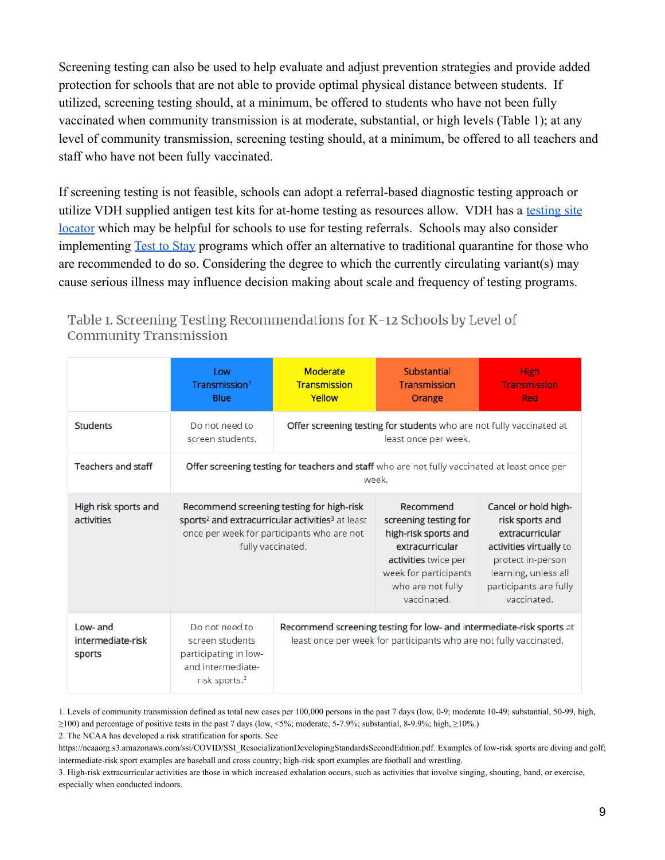Screening testing can also be used to help evaluate and adjust prevention strategies and provide added protection for schools that are not able to provide optimal physical distance between students. If utilized, screening testing should, at a minimum, be offered to students who have not been fully vaccinated when community transmission is at moderate, substantial, or high levels (Table 1); at any level of community transmission, screening testing should, at a minimum, be offered to all teachers and staff who have not been fully vaccinated.

If screening testing is not feasible, schools can adopt a referral-based diagnostic testing approach or utilize VDH supplied antigen test kits for at-home testing as resources allow. VDH has a [testing site](https://www.vdh.virginia.gov/coronavirus/covid-19-testing-sites/) [locator](https://www.vdh.virginia.gov/coronavirus/covid-19-testing-sites/) which may be helpful for schools to use for testing referrals. Schools may also consider implementing [Test to Stay](https://www.vdh.virginia.gov/coronavirus/protect-yourself/covid-19-testing/k-12-testing/test-to-stay/) programs which offer an alternative to traditional quarantine for those who are recommended to do so. Considering the degree to which the currently circulating variant(s) may cause serious illness may influence decision making about scale and frequency of testing programs.

|                                           | Low<br>Transmission <sup>1</sup><br>Blue                                                                                                                                                 | <b>Moderate</b><br><b>Transmission</b><br>Yellow                                                                                           | <b>Substantial</b><br>Transmission<br>Orange                                                                                                                       | <b>High</b><br><b>Transmission</b><br>Red                                                                                                                                   |  |
|-------------------------------------------|------------------------------------------------------------------------------------------------------------------------------------------------------------------------------------------|--------------------------------------------------------------------------------------------------------------------------------------------|--------------------------------------------------------------------------------------------------------------------------------------------------------------------|-----------------------------------------------------------------------------------------------------------------------------------------------------------------------------|--|
| <b>Students</b>                           | Do not need to<br>screen students.                                                                                                                                                       | Offer screening testing for students who are not fully vaccinated at<br>least once per week.                                               |                                                                                                                                                                    |                                                                                                                                                                             |  |
| <b>Teachers and staff</b>                 | Offer screening testing for teachers and staff who are not fully vaccinated at least once per<br>week.                                                                                   |                                                                                                                                            |                                                                                                                                                                    |                                                                                                                                                                             |  |
| High risk sports and<br><b>activities</b> | Recommend screening testing for high-risk<br>sports <sup>2</sup> and extracurricular activities <sup>3</sup> at least<br>once per week for participants who are not<br>fully vaccinated. |                                                                                                                                            | Recommend<br>screening testing for<br>high-risk sports and<br>extracurricular<br>activities twice per<br>week for participants<br>who are not fully<br>vaccinated. | Cancel or hold high-<br>risk sports and<br>extracurricular<br>activities virtually to<br>protect in-person<br>learning, unless all<br>participants are fully<br>vaccinated. |  |
| Low- and<br>intermediate-risk<br>sports   | Do not need to<br>screen students<br>participating in low-<br>and intermediate-<br>risk sports. <sup>2</sup>                                                                             | Recommend screening testing for low- and intermediate-risk sports at<br>least once per week for participants who are not fully vaccinated. |                                                                                                                                                                    |                                                                                                                                                                             |  |

Table 1. Screening Testing Recommendations for K-12 Schools by Level of **Community Transmission** 

1. Levels of community [transmission](https://covid.cdc.gov/covid-data-tracker/#county-view) defined as total new cases per 100,000 persons in the past 7 days (low, 0-9; moderate 10-49; substantial, 50-99, high, ≥100) and percentage of positive tests in the past 7 days (low, <5%; moderate, 5-7.9%; substantial, 8-9.9%; high, ≥10%.)

2. The NCAA has developed a risk stratification for sports. See

[https://ncaaorg.s3.amazonaws.com/ssi/COVID/SSI\\_ResocializationDevelopingStandardsSecondEdition.pdf.](https://ncaaorg.s3.amazonaws.com/ssi/COVID/SSI_ResocializationDevelopingStandardsSecondEdition.pdf) Examples of low-risk sports are diving and golf; intermediate-risk sport examples are baseball and cross country; high-risk sport examples are football and wrestling.

3. High-risk extracurricular activities are those in which increased exhalation occurs, such as activities that involve singing, shouting, band, or exercise, especially when conducted indoors.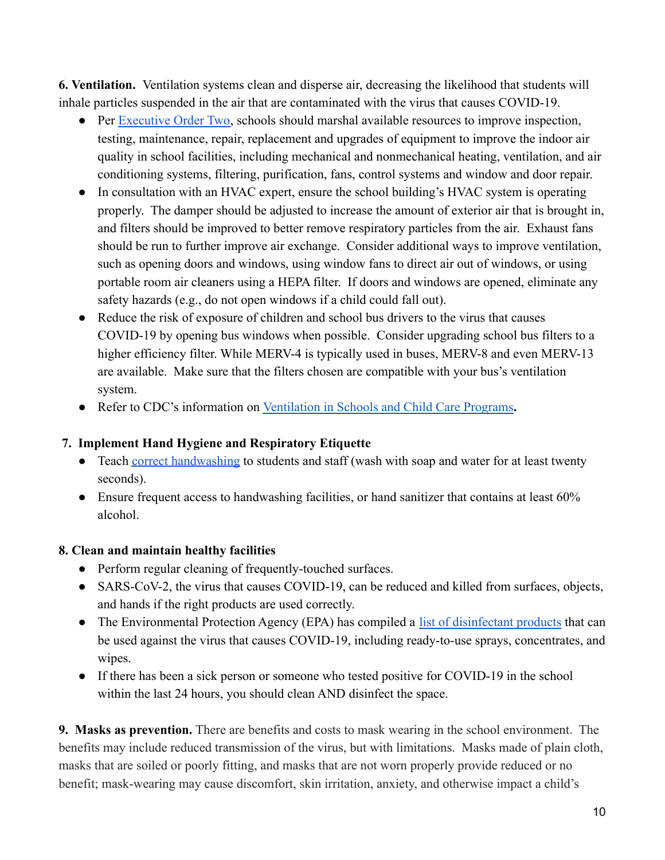**6. Ventilation.** Ventilation systems clean and disperse air, decreasing the likelihood that students will inhale particles suspended in the air that are contaminated with the virus that causes COVID-19.

- Per [Executive Order Two](https://www.governor.virginia.gov/media/governorvirginiagov/governor-of-virginia/pdf/74---eo/74---eo/EO-2---School-Mask-Mandate-Executive-Order-Exception.pdf), schools should marshal available resources to improve inspection, testing, maintenance, repair, replacement and upgrades of equipment to improve the indoor air quality in school facilities, including mechanical and nonmechanical heating, ventilation, and air conditioning systems, filtering, purification, fans, control systems and window and door repair.
- In consultation with an HVAC expert, ensure the school building's HVAC system is operating properly. The damper should be adjusted to increase the amount of exterior air that is brought in, and filters should be improved to better remove respiratory particles from the air. Exhaust fans should be run to further improve air exchange. Consider additional ways to improve ventilation, such as opening doors and windows, using window fans to direct air out of windows, or using portable room air cleaners using a HEPA filter. If doors and windows are opened, eliminate any safety hazards (e.g., do not open windows if a child could fall out).
- Reduce the risk of exposure of children and school bus drivers to the virus that causes COVID-19 by opening bus windows when possible. Consider upgrading school bus filters to a higher efficiency filter. While MERV-4 is typically used in buses, MERV-8 and even MERV-13 are available. Make sure that the filters chosen are compatible with your bus's ventilation system.
- Refer to CDC's information on Ventilation in Schools [and Child Care Programs](https://www.cdc.gov/coronavirus/2019-ncov/community/schools-childcare/ventilation.html)**.**

#### **7. Implement Hand Hygiene and Respiratory Etiquette**

- Teach [correct handwashing](https://www.cdc.gov/handwashing/when-how-handwashing.html) to students and staff (wash with soap and water for at least twenty seconds).
- $\bullet$  Ensure frequent access to handwashing facilities, or hand sanitizer that contains at least 60% alcohol.

#### **8. Clean and maintain healthy facilities**

- Perform regular cleaning of frequently-touched surfaces.
- SARS-CoV-2, the virus that causes COVID-19, can be reduced and killed from surfaces, objects, and hands if the right products are used correctly.
- The Environmental Protection Agency (EPA) has compiled a [list of disinfectant products](https://cfpub.epa.gov/wizards/disinfectants/) that can be used against the virus that causes COVID-19, including ready-to-use sprays, concentrates, and wipes.
- If there has been a sick person or someone who tested positive for COVID-19 in the school within the last 24 hours, you should clean AND disinfect the space.

**9. Masks as prevention.** There are benefits and costs to mask wearing in the school environment. The benefits may include reduced transmission of the virus, but with limitations. Masks made of plain cloth, masks that are soiled or poorly fitting, and masks that are not worn properly provide reduced or no benefit; mask-wearing may cause discomfort, skin irritation, anxiety, and otherwise impact a child's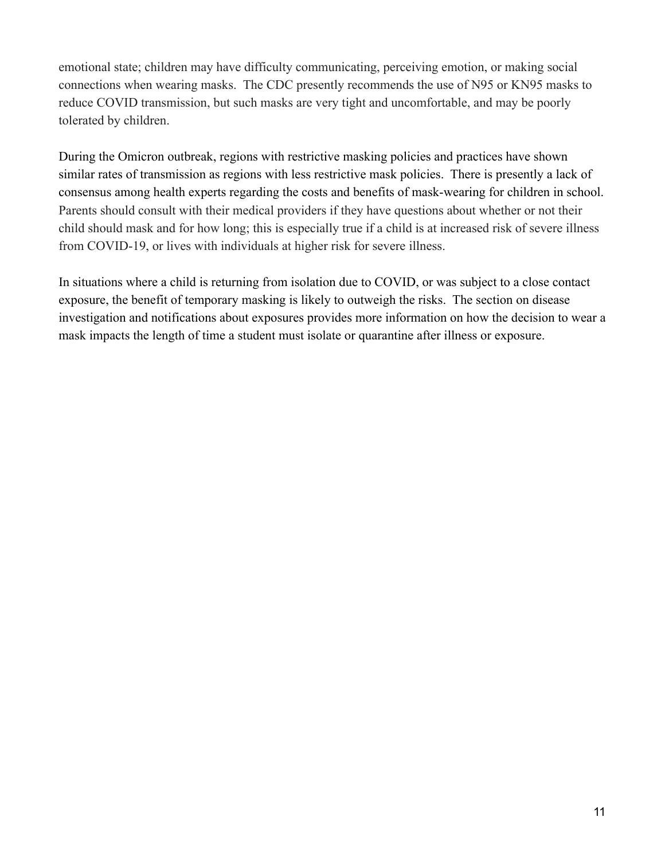emotional state; children may have difficulty communicating, perceiving emotion, or making social connections when wearing masks. The CDC presently recommends the use of N95 or KN95 masks to reduce COVID transmission, but such masks are very tight and uncomfortable, and may be poorly tolerated by children.

During the Omicron outbreak, regions with restrictive masking policies and practices have shown similar rates of transmission as regions with less restrictive mask policies. There is presently a lack of consensus among health experts regarding the costs and benefits of mask-wearing for children in school. Parents should consult with their medical providers if they have questions about whether or not their child should mask and for how long; this is especially true if a child is at increased risk of severe illness from COVID-19, or lives with individuals at higher risk for severe illness.

In situations where a child is returning from isolation due to COVID, or was subject to a close contact exposure, the benefit of temporary masking is likely to outweigh the risks. The section on disease investigation and notifications about exposures provides more information on how the decision to wear a mask impacts the length of time a student must isolate or quarantine after illness or exposure.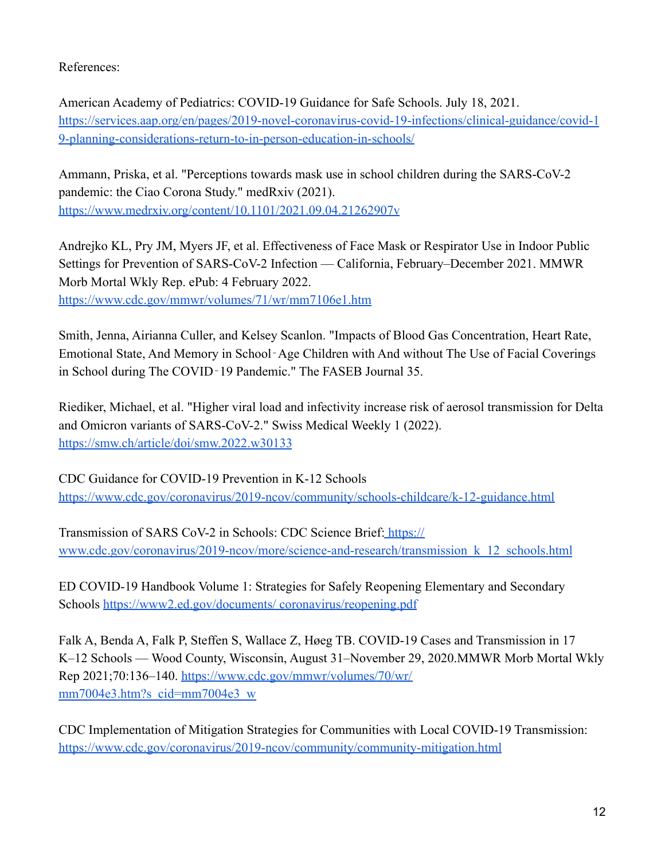References:

American Academy of Pediatrics: COVID-19 Guidance for Safe Schools. July 18, 2021. [https://services.aap.org/en/pages/2019-novel-coronavirus-covid-19-infections/clinical-guidance/covid-1](https://services.aap.org/en/pages/2019-novel-coronavirus-covid-19-infections/clinical-guidance/covid-19-planning-considerations-return-to-in-person-education-in-schools/) [9-planning-considerations-return-to-in-person-education-in-schools/](https://services.aap.org/en/pages/2019-novel-coronavirus-covid-19-infections/clinical-guidance/covid-19-planning-considerations-return-to-in-person-education-in-schools/)

Ammann, Priska, et al. "Perceptions towards mask use in school children during the SARS-CoV-2 pandemic: the Ciao Corona Study." medRxiv (2021). [https://www.medrxiv.org/content/10.1101/2021.09.04.21262907v](https://www.medrxiv.org/content/10.1101/2021.09.04.21262907v1)

Andrejko KL, Pry JM, Myers JF, et al. Effectiveness of Face Mask or Respirator Use in Indoor Public Settings for Prevention of SARS-CoV-2 Infection — California, February–December 2021. MMWR Morb Mortal Wkly Rep. ePub: 4 February 2022. <https://www.cdc.gov/mmwr/volumes/71/wr/mm7106e1.htm>

Smith, Jenna, Airianna Culler, and Kelsey Scanlon. "Impacts of Blood Gas Concentration, Heart Rate, Emotional State, And Memory in School‐Age Children with And without The Use of Facial Coverings in School during The COVID‐19 Pandemic." The FASEB Journal 35.

Riediker, Michael, et al. "Higher viral load and infectivity increase risk of aerosol transmission for Delta and Omicron variants of SARS-CoV-2." Swiss Medical Weekly 1 (2022). <https://smw.ch/article/doi/smw.2022.w30133>

CDC Guidance for COVID-19 Prevention in K-12 Schools <https://www.cdc.gov/coronavirus/2019-ncov/community/schools-childcare/k-12-guidance.html>

Transmission of SARS CoV-2 in Schools: CDC Science Brief: [https://](http://www.cdc.gov/coronavirus/2019-ncov/more/science-and-research/transmission_k_12_schools.html) [www.cdc.gov/coronavirus/2019-ncov/more/science-and-research/transmission\\_k\\_12\\_schools.html](http://www.cdc.gov/coronavirus/2019-ncov/more/science-and-research/transmission_k_12_schools.html)

ED COVID-19 Handbook Volume 1: Strategies for Safely Reopening Elementary and Secondary Schools [https://www2.ed.gov/documents/ coronavirus/reopening.pdf](https://www2.ed.gov/documents/)

Falk A, Benda A, Falk P, Steffen S, Wallace Z, Høeg TB. COVID-19 Cases and Transmission in 17 K–12 Schools — Wood County, Wisconsin, August 31–November 29, 2020.MMWR Morb Mortal Wkly Rep 2021;70:136–140. <https://www.cdc.gov/mmwr/volumes/70/wr/> [mm7004e3.htm?s\\_cid=mm7004e3\\_w](https://www.cdc.gov/mmwr/volumes/70/wr/)

CDC Implementation of Mitigation Strategies for Communities with Local COVID-19 Transmission: <https://www.cdc.gov/coronavirus/2019-ncov/community/community-mitigation.html>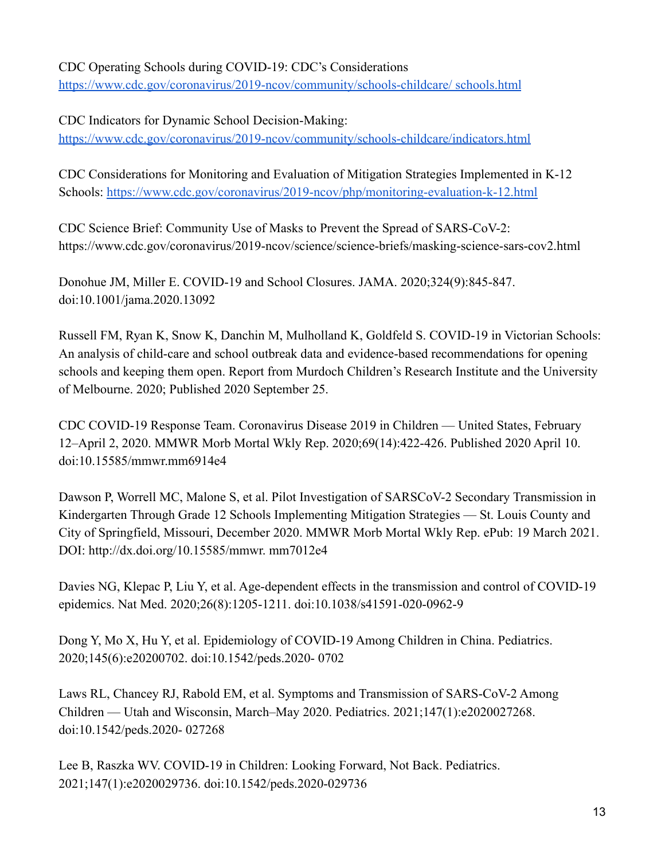# CDC Operating Schools during COVID-19: CDC's Considerations

[https://www.cdc.gov/coronavirus/2019-ncov/community/schools-childcare/ schools.html](https://www.cdc.gov/coronavirus/2019-ncov/community/schools-childcare/)

CDC Indicators for Dynamic School Decision-Making:

[https://www.cdc.gov/coronavirus/2019-ncov/community/schools-childcare/indicators.html](https://www.cdc.)

CDC Considerations for Monitoring and Evaluation of Mitigation Strategies Implemented in K-12 Schools: <https://www.cdc.gov/coronavirus/2019-ncov/php/monitoring-evaluation-k-12.html>

CDC Science Brief: Community Use of Masks to Prevent the Spread of SARS-CoV-2: https://www.cdc.gov/coronavirus/2019-ncov/science/science-briefs/masking-science-sars-cov2.html

Donohue JM, Miller E. COVID-19 and School Closures. JAMA. 2020;324(9):845-847. doi:10.1001/jama.2020.13092

Russell FM, Ryan K, Snow K, Danchin M, Mulholland K, Goldfeld S. COVID-19 in Victorian Schools: An analysis of child-care and school outbreak data and evidence-based recommendations for opening schools and keeping them open. Report from Murdoch Children's Research Institute and the University of Melbourne. 2020; Published 2020 September 25.

CDC COVID-19 Response Team. Coronavirus Disease 2019 in Children — United States, February 12–April 2, 2020. MMWR Morb Mortal Wkly Rep. 2020;69(14):422-426. Published 2020 April 10. doi:10.15585/mmwr.mm6914e4

Dawson P, Worrell MC, Malone S, et al. Pilot Investigation of SARSCoV-2 Secondary Transmission in Kindergarten Through Grade 12 Schools Implementing Mitigation Strategies — St. Louis County and City of Springfield, Missouri, December 2020. MMWR Morb Mortal Wkly Rep. ePub: 19 March 2021. DOI: http://dx.doi.org/10.15585/mmwr. mm7012e4

Davies NG, Klepac P, Liu Y, et al. Age-dependent effects in the transmission and control of COVID-19 epidemics. Nat Med. 2020;26(8):1205-1211. doi:10.1038/s41591-020-0962-9

Dong Y, Mo X, Hu Y, et al. Epidemiology of COVID-19 Among Children in China. Pediatrics. 2020;145(6):e20200702. doi:10.1542/peds.2020- 0702

Laws RL, Chancey RJ, Rabold EM, et al. Symptoms and Transmission of SARS-CoV-2 Among Children — Utah and Wisconsin, March–May 2020. Pediatrics. 2021;147(1):e2020027268. doi:10.1542/peds.2020- 027268

Lee B, Raszka WV. COVID-19 in Children: Looking Forward, Not Back. Pediatrics. 2021;147(1):e2020029736. doi:10.1542/peds.2020-029736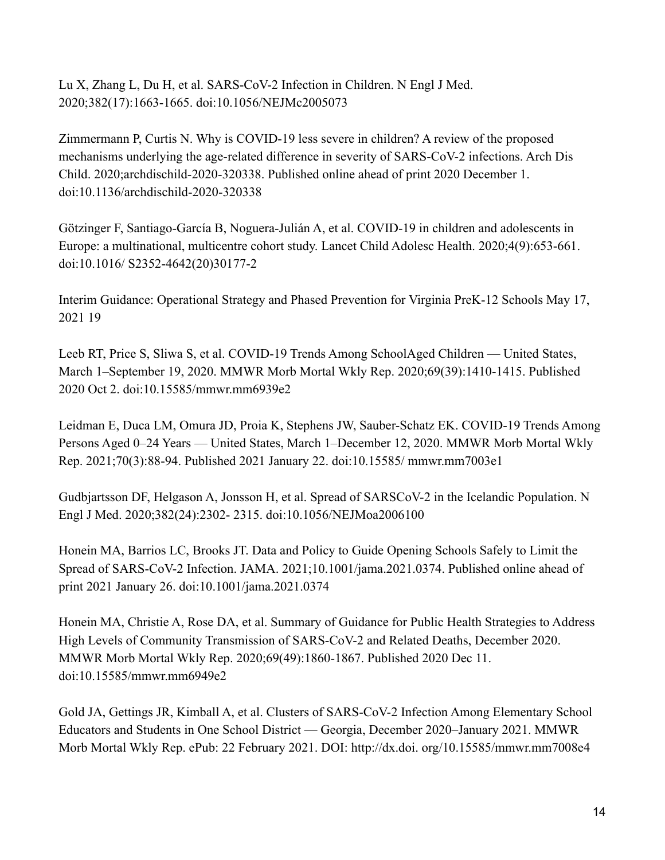Lu X, Zhang L, Du H, et al. SARS-CoV-2 Infection in Children. N Engl J Med. 2020;382(17):1663-1665. doi:10.1056/NEJMc2005073

Zimmermann P, Curtis N. Why is COVID-19 less severe in children? A review of the proposed mechanisms underlying the age-related difference in severity of SARS-CoV-2 infections. Arch Dis Child. 2020;archdischild-2020-320338. Published online ahead of print 2020 December 1. doi:10.1136/archdischild-2020-320338

Götzinger F, Santiago-García B, Noguera-Julián A, et al. COVID-19 in children and adolescents in Europe: a multinational, multicentre cohort study. Lancet Child Adolesc Health. 2020;4(9):653-661. doi:10.1016/ S2352-4642(20)30177-2

Interim Guidance: Operational Strategy and Phased Prevention for Virginia PreK-12 Schools May 17, 2021 19

Leeb RT, Price S, Sliwa S, et al. COVID-19 Trends Among SchoolAged Children — United States, March 1–September 19, 2020. MMWR Morb Mortal Wkly Rep. 2020;69(39):1410-1415. Published 2020 Oct 2. doi:10.15585/mmwr.mm6939e2

Leidman E, Duca LM, Omura JD, Proia K, Stephens JW, Sauber-Schatz EK. COVID-19 Trends Among Persons Aged 0–24 Years — United States, March 1–December 12, 2020. MMWR Morb Mortal Wkly Rep. 2021;70(3):88-94. Published 2021 January 22. doi:10.15585/ mmwr.mm7003e1

Gudbjartsson DF, Helgason A, Jonsson H, et al. Spread of SARSCoV-2 in the Icelandic Population. N Engl J Med. 2020;382(24):2302- 2315. doi:10.1056/NEJMoa2006100

Honein MA, Barrios LC, Brooks JT. Data and Policy to Guide Opening Schools Safely to Limit the Spread of SARS-CoV-2 Infection. JAMA. 2021;10.1001/jama.2021.0374. Published online ahead of print 2021 January 26. doi:10.1001/jama.2021.0374

Honein MA, Christie A, Rose DA, et al. Summary of Guidance for Public Health Strategies to Address High Levels of Community Transmission of SARS-CoV-2 and Related Deaths, December 2020. MMWR Morb Mortal Wkly Rep. 2020;69(49):1860-1867. Published 2020 Dec 11. doi:10.15585/mmwr.mm6949e2

Gold JA, Gettings JR, Kimball A, et al. Clusters of SARS-CoV-2 Infection Among Elementary School Educators and Students in One School District — Georgia, December 2020–January 2021. MMWR Morb Mortal Wkly Rep. ePub: 22 February 2021. DOI: http://dx.doi. org/10.15585/mmwr.mm7008e4